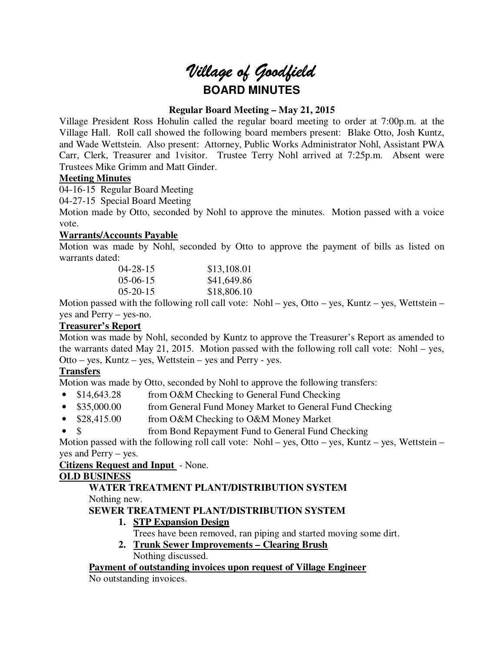# *Village of Goodfield* **BOARD MINUTES**

# **Regular Board Meeting – May 21, 2015**

Village President Ross Hohulin called the regular board meeting to order at 7:00p.m. at the Village Hall. Roll call showed the following board members present: Blake Otto, Josh Kuntz, and Wade Wettstein. Also present: Attorney, Public Works Administrator Nohl, Assistant PWA Carr, Clerk, Treasurer and 1visitor. Trustee Terry Nohl arrived at 7:25p.m. Absent were Trustees Mike Grimm and Matt Ginder.

## **Meeting Minutes**

04-16-15 Regular Board Meeting

04-27-15 Special Board Meeting

Motion made by Otto, seconded by Nohl to approve the minutes. Motion passed with a voice vote.

## **Warrants/Accounts Payable**

Motion was made by Nohl, seconded by Otto to approve the payment of bills as listed on warrants dated:

| $04 - 28 - 15$    | \$13,108.01 |
|-------------------|-------------|
| $0.5 - 0.6 - 1.5$ | \$41,649.86 |
| $0.5 - 20 - 15$   | \$18,806.10 |

Motion passed with the following roll call vote: Nohl – yes, Otto – yes, Kuntz – yes, Wettstein – yes and Perry – yes-no.

# **Treasurer's Report**

Motion was made by Nohl, seconded by Kuntz to approve the Treasurer's Report as amended to the warrants dated May 21, 2015. Motion passed with the following roll call vote: Nohl – yes, Otto – yes, Kuntz – yes, Wettstein – yes and Perry - yes.

# **Transfers**

Motion was made by Otto, seconded by Nohl to approve the following transfers:

- \$14,643.28 from O&M Checking to General Fund Checking
- \$35,000.00 from General Fund Money Market to General Fund Checking
- \$28,415.00 from O&M Checking to O&M Money Market
- \$ from Bond Repayment Fund to General Fund Checking

Motion passed with the following roll call vote: Nohl – yes, Otto – yes, Kuntz – yes, Wettstein – yes and Perry – yes.

## **Citizens Request and Input** - None.

## **OLD BUSINESS**

#### **WATER TREATMENT PLANT/DISTRIBUTION SYSTEM**  Nothing new.

## **SEWER TREATMENT PLANT/DISTRIBUTION SYSTEM**

- **1. STP Expansion Design** 
	- Trees have been removed, ran piping and started moving some dirt.
- **2. Trunk Sewer Improvements Clearing Brush**  Nothing discussed.

## **Payment of outstanding invoices upon request of Village Engineer**

No outstanding invoices.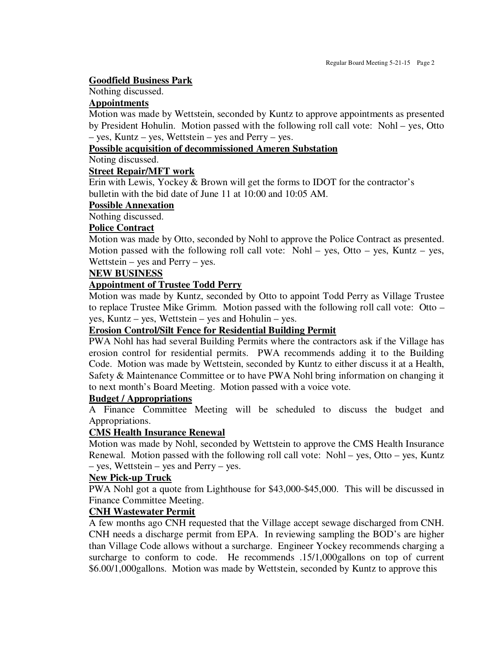#### **Goodfield Business Park**

# Nothing discussed.

#### **Appointments**

Motion was made by Wettstein, seconded by Kuntz to approve appointments as presented by President Hohulin. Motion passed with the following roll call vote: Nohl – yes, Otto – yes, Kuntz – yes, Wettstein – yes and Perry – yes.

## **Possible acquisition of decommissioned Ameren Substation**

Noting discussed.

#### **Street Repair/MFT work**

Erin with Lewis, Yockey & Brown will get the forms to IDOT for the contractor's bulletin with the bid date of June 11 at 10:00 and 10:05 AM.

#### **Possible Annexation**

Nothing discussed.

## **Police Contract**

Motion was made by Otto, seconded by Nohl to approve the Police Contract as presented. Motion passed with the following roll call vote: Nohl – yes, Otto – yes, Kuntz – yes, Wettstein – yes and Perry – yes.

## **NEW BUSINESS**

## **Appointment of Trustee Todd Perry**

Motion was made by Kuntz, seconded by Otto to appoint Todd Perry as Village Trustee to replace Trustee Mike Grimm. Motion passed with the following roll call vote: Otto – yes, Kuntz – yes, Wettstein – yes and Hohulin – yes.

## **Erosion Control/Silt Fence for Residential Building Permit**

PWA Nohl has had several Building Permits where the contractors ask if the Village has erosion control for residential permits. PWA recommends adding it to the Building Code. Motion was made by Wettstein, seconded by Kuntz to either discuss it at a Health, Safety & Maintenance Committee or to have PWA Nohl bring information on changing it to next month's Board Meeting. Motion passed with a voice vote.

#### **Budget / Appropriations**

A Finance Committee Meeting will be scheduled to discuss the budget and Appropriations.

#### **CMS Health Insurance Renewal**

Motion was made by Nohl, seconded by Wettstein to approve the CMS Health Insurance Renewal. Motion passed with the following roll call vote: Nohl – yes, Otto – yes, Kuntz – yes, Wettstein – yes and Perry – yes.

#### **New Pick-up Truck**

PWA Nohl got a quote from Lighthouse for \$43,000-\$45,000. This will be discussed in Finance Committee Meeting.

## **CNH Wastewater Permit**

A few months ago CNH requested that the Village accept sewage discharged from CNH. CNH needs a discharge permit from EPA. In reviewing sampling the BOD's are higher than Village Code allows without a surcharge. Engineer Yockey recommends charging a surcharge to conform to code. He recommends .15/1,000gallons on top of current \$6.00/1,000gallons. Motion was made by Wettstein, seconded by Kuntz to approve this